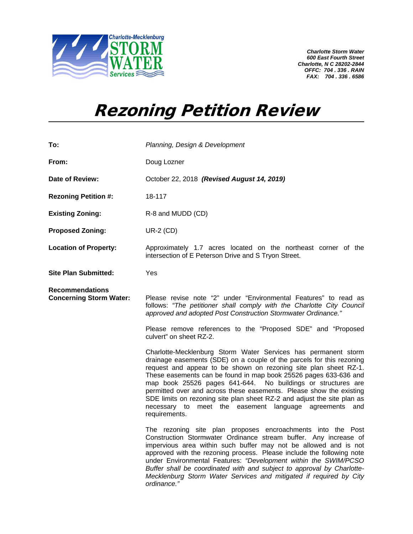

*Charlotte Storm Water 600 East Fourth Street Charlotte, N C 28202-2844 OFFC: 704 . 336 . RAIN FAX: 704 . 336 . 6586*

## Rezoning Petition Review

| To:                                                      | Planning, Design & Development                                                                                                                                                                                                                                                                                                                                                                                                                                                                                                                                                     |
|----------------------------------------------------------|------------------------------------------------------------------------------------------------------------------------------------------------------------------------------------------------------------------------------------------------------------------------------------------------------------------------------------------------------------------------------------------------------------------------------------------------------------------------------------------------------------------------------------------------------------------------------------|
| From:                                                    | Doug Lozner                                                                                                                                                                                                                                                                                                                                                                                                                                                                                                                                                                        |
| Date of Review:                                          | October 22, 2018 (Revised August 14, 2019)                                                                                                                                                                                                                                                                                                                                                                                                                                                                                                                                         |
| <b>Rezoning Petition #:</b>                              | 18-117                                                                                                                                                                                                                                                                                                                                                                                                                                                                                                                                                                             |
| <b>Existing Zoning:</b>                                  | R-8 and MUDD (CD)                                                                                                                                                                                                                                                                                                                                                                                                                                                                                                                                                                  |
| <b>Proposed Zoning:</b>                                  | <b>UR-2 (CD)</b>                                                                                                                                                                                                                                                                                                                                                                                                                                                                                                                                                                   |
| <b>Location of Property:</b>                             | Approximately 1.7 acres located on the northeast corner of the<br>intersection of E Peterson Drive and S Tryon Street.                                                                                                                                                                                                                                                                                                                                                                                                                                                             |
| <b>Site Plan Submitted:</b>                              | Yes                                                                                                                                                                                                                                                                                                                                                                                                                                                                                                                                                                                |
| <b>Recommendations</b><br><b>Concerning Storm Water:</b> | Please revise note "2" under "Environmental Features" to read as<br>follows: "The petitioner shall comply with the Charlotte City Council<br>approved and adopted Post Construction Stormwater Ordinance."                                                                                                                                                                                                                                                                                                                                                                         |
|                                                          | Please remove references to the "Proposed SDE" and "Proposed<br>culvert" on sheet RZ-2.                                                                                                                                                                                                                                                                                                                                                                                                                                                                                            |
|                                                          | Charlotte-Mecklenburg Storm Water Services has permanent storm<br>drainage easements (SDE) on a couple of the parcels for this rezoning<br>request and appear to be shown on rezoning site plan sheet RZ-1.<br>These easements can be found in map book 25526 pages 633-636 and<br>map book 25526 pages 641-644. No buildings or structures are<br>permitted over and across these easements. Please show the existing<br>SDE limits on rezoning site plan sheet RZ-2 and adjust the site plan as<br>meet the easement language agreements<br>necessary to<br>and<br>requirements. |
|                                                          | The rezoning site plan proposes encroachments into the Post<br>Construction Stormwater Ordinance stream buffer. Any increase of<br>impervious area within such buffer may not be allowed and is not<br>approved with the rezoning process. Please include the following note<br>under Environmental Features: "Development within the SWIM/PCSO<br>Buffer shall be coordinated with and subject to approval by Charlotte-<br>Mecklenburg Storm Water Services and mitigated if required by City<br>ordinance."                                                                     |